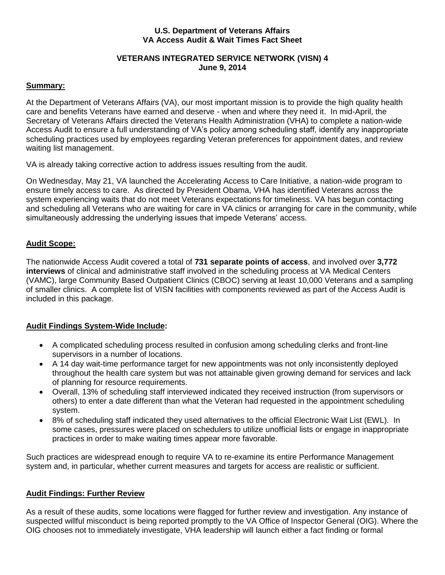#### **VA Access Audit & Wait Times Fact Sheet U.S. Department of Veterans Affairs**

#### **VETERANS INTEGRATED SERVICE NETWORK (VISN) 4 June 9, 2014**

#### **Summary:**

 At the Department of Veterans Affairs (VA), our most important mission is to provide the high quality health care and benefits Veterans have earned and deserve - when and where they need it. In mid-April, the Secretary of Veterans Affairs directed the Veterans Health Administration (VHA) to complete a nation-wide Access Audit to ensure a full understanding of VA's policy among scheduling staff, identify any inappropriate scheduling practices used by employees regarding Veteran preferences for appointment dates, and review waiting list management.

VA is already taking corrective action to address issues resulting from the audit.

 On Wednesday, May 21, VA launched the Accelerating Access to Care Initiative, a nation-wide program to ensure timely access to care. As directed by President Obama, VHA has identified Veterans across the system experiencing waits that do not meet Veterans expectations for timeliness. VA has begun contacting and scheduling all Veterans who are waiting for care in VA clinics or arranging for care in the community, while simultaneously addressing the underlying issues that impede Veterans' access.

# **Audit Scope:**

 The nationwide Access Audit covered a total of **731 separate points of access**, and involved over **3,772 interviews** of clinical and administrative staff involved in the scheduling process at VA Medical Centers (VAMC), large Community Based Outpatient Clinics (CBOC) serving at least 10,000 Veterans and a sampling of smaller clinics. A complete list of VISN facilities with components reviewed as part of the Access Audit is included in this package.

# **Audit Findings System-Wide Include:**

- A complicated scheduling process resulted in confusion among scheduling clerks and front-line supervisors in a number of locations.
- A 14 day wait-time performance target for new appointments was not only inconsistently deployed throughout the health care system but was not attainable given growing demand for services and lack of planning for resource requirements.
- Overall, 13% of scheduling staff interviewed indicated they received instruction (from supervisors or others) to enter a date different than what the Veteran had requested in the appointment scheduling system.
- 8% of scheduling staff indicated they used alternatives to the official Electronic Wait List (EWL). In some cases, pressures were placed on schedulers to utilize unofficial lists or engage in inappropriate practices in order to make waiting times appear more favorable.

 Such practices are widespread enough to require VA to re-examine its entire Performance Management system and, in particular, whether current measures and targets for access are realistic or sufficient.

# **Audit Findings: Further Review**

 As a result of these audits, some locations were flagged for further review and investigation. Any instance of suspected willful misconduct is being reported promptly to the VA Office of Inspector General (OIG). Where the OIG chooses not to immediately investigate, VHA leadership will launch either a fact finding or formal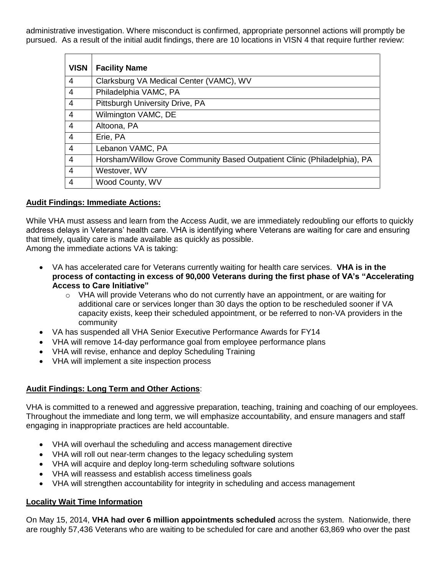administrative investigation. Where misconduct is confirmed, appropriate personnel actions will promptly be pursued. As a result of the initial audit findings, there are 10 locations in VISN 4 that require further review:

| <b>VISN</b>    | <b>Facility Name</b>                                                      |
|----------------|---------------------------------------------------------------------------|
| $\overline{4}$ | Clarksburg VA Medical Center (VAMC), WV                                   |
| $\overline{4}$ | Philadelphia VAMC, PA                                                     |
| $\overline{4}$ | Pittsburgh University Drive, PA                                           |
| $\overline{4}$ | Wilmington VAMC, DE                                                       |
| $\overline{4}$ | Altoona, PA                                                               |
| $\overline{4}$ | Erie, PA                                                                  |
| $\overline{4}$ | Lebanon VAMC, PA                                                          |
| $\overline{4}$ | Horsham/Willow Grove Community Based Outpatient Clinic (Philadelphia), PA |
| $\overline{4}$ | Westover, WV                                                              |
| $\overline{4}$ | Wood County, WV                                                           |

### **Audit Findings: Immediate Actions:**

 While VHA must assess and learn from the Access Audit, we are immediately redoubling our efforts to quickly address delays in Veterans' health care. VHA is identifying where Veterans are waiting for care and ensuring that timely, quality care is made available as quickly as possible.

Among the immediate actions VA is taking:

- VA has accelerated care for Veterans currently waiting for health care services. **VHA is in the process of contacting in excess of 90,000 Veterans during the first phase of VA's "Accelerating Access to Care Initiative"**
	- $\circ$  VHA will provide Veterans who do not currently have an appointment, or are waiting for additional care or services longer than 30 days the option to be rescheduled sooner if VA capacity exists, keep their scheduled appointment, or be referred to non-VA providers in the community
- VA has suspended all VHA Senior Executive Performance Awards for FY14
- VHA will remove 14-day performance goal from employee performance plans
- VHA will revise, enhance and deploy Scheduling Training
- VHA will implement a site inspection process

# **Audit Findings: Long Term and Other Actions**:

 VHA is committed to a renewed and aggressive preparation, teaching, training and coaching of our employees. Throughout the immediate and long term, we will emphasize accountability, and ensure managers and staff engaging in inappropriate practices are held accountable.

- VHA will overhaul the scheduling and access management directive
- VHA will roll out near-term changes to the legacy scheduling system
- VHA will acquire and deploy long-term scheduling software solutions
- VHA will reassess and establish access timeliness goals
- VHA will strengthen accountability for integrity in scheduling and access management

#### **Locality Wait Time Information**

 On May 15, 2014, **VHA had over 6 million appointments scheduled** across the system. Nationwide, there are roughly 57,436 Veterans who are waiting to be scheduled for care and another 63,869 who over the past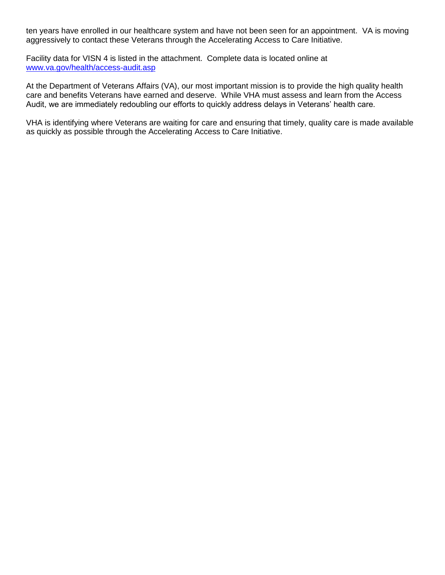ten years have enrolled in our healthcare system and have not been seen for an appointment. VA is moving aggressively to contact these Veterans through the Accelerating Access to Care Initiative.

 Facility data for VISN 4 is listed in the attachment. Complete data is located online at [www.va.gov/health/access-audit.asp](http://www.va.gov/health/access-audit.asp) 

At the Department of Veterans Affairs (VA), our most important mission is to provide the high quality health care and benefits Veterans have earned and deserve. While VHA must assess and learn from the Access Audit, we are immediately redoubling our efforts to quickly address delays in Veterans' health care.

 VHA is identifying where Veterans are waiting for care and ensuring that timely, quality care is made available as quickly as possible through the Accelerating Access to Care Initiative.